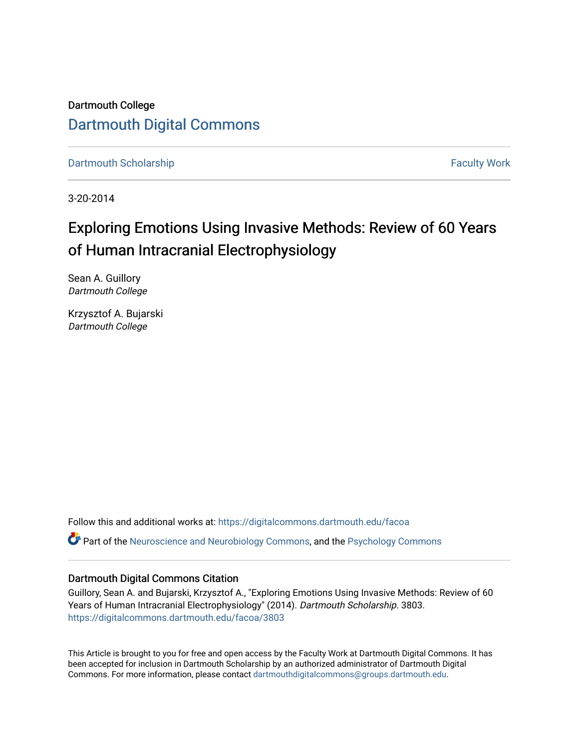Dartmouth College [Dartmouth Digital Commons](https://digitalcommons.dartmouth.edu/) 

[Dartmouth Scholarship](https://digitalcommons.dartmouth.edu/facoa) Faculty Work

3-20-2014

# Exploring Emotions Using Invasive Methods: Review of 60 Years of Human Intracranial Electrophysiology

Sean A. Guillory Dartmouth College

Krzysztof A. Bujarski Dartmouth College

Follow this and additional works at: [https://digitalcommons.dartmouth.edu/facoa](https://digitalcommons.dartmouth.edu/facoa?utm_source=digitalcommons.dartmouth.edu%2Ffacoa%2F3803&utm_medium=PDF&utm_campaign=PDFCoverPages)

Part of the [Neuroscience and Neurobiology Commons,](http://network.bepress.com/hgg/discipline/55?utm_source=digitalcommons.dartmouth.edu%2Ffacoa%2F3803&utm_medium=PDF&utm_campaign=PDFCoverPages) and the [Psychology Commons](http://network.bepress.com/hgg/discipline/404?utm_source=digitalcommons.dartmouth.edu%2Ffacoa%2F3803&utm_medium=PDF&utm_campaign=PDFCoverPages)

# Dartmouth Digital Commons Citation

Guillory, Sean A. and Bujarski, Krzysztof A., "Exploring Emotions Using Invasive Methods: Review of 60 Years of Human Intracranial Electrophysiology" (2014). Dartmouth Scholarship. 3803. [https://digitalcommons.dartmouth.edu/facoa/3803](https://digitalcommons.dartmouth.edu/facoa/3803?utm_source=digitalcommons.dartmouth.edu%2Ffacoa%2F3803&utm_medium=PDF&utm_campaign=PDFCoverPages) 

This Article is brought to you for free and open access by the Faculty Work at Dartmouth Digital Commons. It has been accepted for inclusion in Dartmouth Scholarship by an authorized administrator of Dartmouth Digital Commons. For more information, please contact [dartmouthdigitalcommons@groups.dartmouth.edu](mailto:dartmouthdigitalcommons@groups.dartmouth.edu).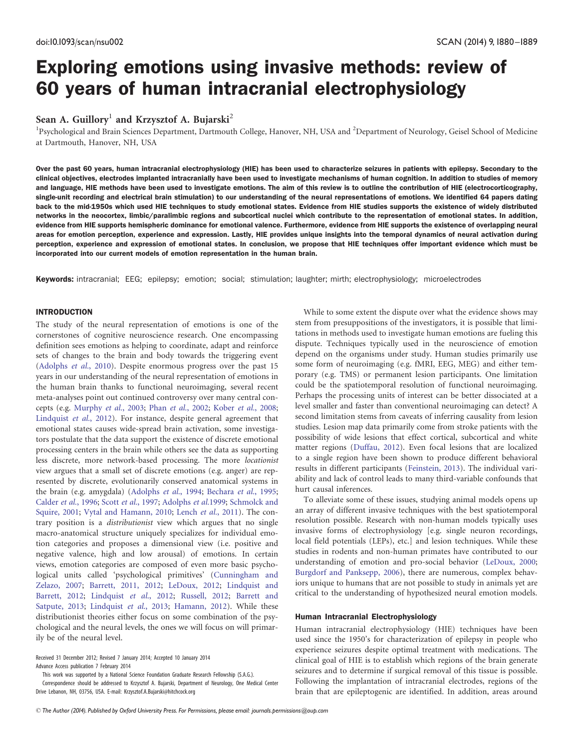# Exploring emotions using invasive methods: review of 60 years of human intracranial electrophysiology

# Sean A. Guillory<sup>1</sup> and Krzysztof A. Bujarski<sup>2</sup>

<sup>1</sup>Psychological and Brain Sciences Department, Dartmouth College, Hanover, NH, USA and <sup>2</sup>Department of Neurology, Geisel School of Medicine at Dartmouth, Hanover, NH, USA

Over the past 60 years, human intracranial electrophysiology (HIE) has been used to characterize seizures in patients with epilepsy. Secondary to the clinical objectives, electrodes implanted intracranially have been used to investigate mechanisms of human cognition. In addition to studies of memory and language, HIE methods have been used to investigate emotions. The aim of this review is to outline the contribution of HIE (electrocorticography, single-unit recording and electrical brain stimulation) to our understanding of the neural representations of emotions. We identified 64 papers dating back to the mid-1950s which used HIE techniques to study emotional states. Evidence from HIE studies supports the existence of widely distributed networks in the neocortex, limbic/paralimbic regions and subcortical nuclei which contribute to the representation of emotional states. In addition, evidence from HIE supports hemispheric dominance for emotional valence. Furthermore, evidence from HIE supports the existence of overlapping neural areas for emotion perception, experience and expression. Lastly, HIE provides unique insights into the temporal dynamics of neural activation during perception, experience and expression of emotional states. In conclusion, we propose that HIE techniques offer important evidence which must be incorporated into our current models of emotion representation in the human brain.

Keywords: intracranial; EEG; epilepsy; emotion; social; stimulation; laughter; mirth; electrophysiology; microelectrodes

## INTRODUCTION

The study of the neural representation of emotions is one of the cornerstones of cognitive neuroscience research. One encompassing definition sees emotions as helping to coordinate, adapt and reinforce sets of changes to the brain and body towards the triggering event [\(Adolphs](#page-9-0) et al., 2010). Despite enormous progress over the past 15 years in our understanding of the neural representation of emotions in the human brain thanks to functional neuroimaging, several recent meta-analyses point out continued controversy over many central concepts (e.g. [Murphy](#page-10-0) et al., 2003; [Phan](#page-10-0) et al.[, 2002](#page-10-0); Kober et al.[, 2008;](#page-9-0) [Lindquist](#page-10-0) et al., 2012). For instance, despite general agreement that emotional states causes wide-spread brain activation, some investigators postulate that the data support the existence of discrete emotional processing centers in the brain while others see the data as supporting less discrete, more network-based processing. The more locationist view argues that a small set of discrete emotions (e.g. anger) are represented by discrete, evolutionarily conserved anatomical systems in the brain (e.g. amygdala) [\(Adolphs](#page-9-0) et al., 1994; [Bechara](#page-9-0) et al., 1995; [Calder](#page-9-0) et al., 1996; Scott et al.[, 1997;](#page-10-0) [Adolphs](#page-9-0) et al.1999; [Schmolck and](#page-10-0) [Squire, 2001](#page-10-0); [Vytal and Hamann, 2010](#page-10-0); Lench et al.[, 2011\)](#page-10-0). The contrary position is a distributionist view which argues that no single macro-anatomical structure uniquely specializes for individual emotion categories and proposes a dimensional view (i.e. positive and negative valence, high and low arousal) of emotions. In certain views, emotion categories are composed of even more basic psychological units called 'psychological primitives' ([Cunningham and](#page-9-0) [Zelazo, 2007;](#page-9-0) [Barrett, 2011, 2012;](#page-9-0) [LeDoux, 2012;](#page-10-0) [Lindquist and](#page-10-0) [Barrett, 2012](#page-10-0); [Lindquist](#page-10-0) et al., 2012; [Russell, 2012](#page-10-0); [Barrett and](#page-9-0) [Satpute, 2013;](#page-9-0) [Lindquist](#page-10-0) et al., 2013; [Hamann, 2012\)](#page-9-0). While these distributionist theories either focus on some combination of the psychological and the neural levels, the ones we will focus on will primarily be of the neural level.

Received 31 December 2012; Revised 7 January 2014; Accepted 10 January 2014

Advance Access publication 7 February 2014

This work was supported by a National Science Foundation Graduate Research Fellowship (S.A.G.).

Correspondence should be addressed to Krzysztof A. Bujarski, Department of Neurology, One Medical Center Drive Lebanon, NH, 03756, USA. E-mail: Krzysztof.A.Bujarski@hitchcock.org

While to some extent the dispute over what the evidence shows may stem from presuppositions of the investigators, it is possible that limitations in methods used to investigate human emotions are fueling this dispute. Techniques typically used in the neuroscience of emotion depend on the organisms under study. Human studies primarily use some form of neuroimaging (e.g. fMRI, EEG, MEG) and either temporary (e.g. TMS) or permanent lesion participants. One limitation could be the spatiotemporal resolution of functional neuroimaging. Perhaps the processing units of interest can be better dissociated at a level smaller and faster than conventional neuroimaging can detect? A second limitation stems from caveats of inferring causality from lesion studies. Lesion map data primarily come from stroke patients with the possibility of wide lesions that effect cortical, subcortical and white matter regions [\(Duffau, 2012](#page-9-0)). Even focal lesions that are localized to a single region have been shown to produce different behavioral results in different participants [\(Feinstein, 2013\)](#page-9-0). The individual variability and lack of control leads to many third-variable confounds that hurt causal inferences.

To alleviate some of these issues, studying animal models opens up an array of different invasive techniques with the best spatiotemporal resolution possible. Research with non-human models typically uses invasive forms of electrophysiology [e.g. single neuron recordings, local field potentials (LEPs), etc.] and lesion techniques. While these studies in rodents and non-human primates have contributed to our understanding of emotion and pro-social behavior [\(LeDoux, 2000;](#page-9-0) [Burgdorf and Panksepp, 2006](#page-9-0)), there are numerous, complex behaviors unique to humans that are not possible to study in animals yet are critical to the understanding of hypothesized neural emotion models.

# Human Intracranial Electrophysiology

Human intracranial electrophysiology (HIE) techniques have been used since the 1950's for characterization of epilepsy in people who experience seizures despite optimal treatment with medications. The clinical goal of HIE is to establish which regions of the brain generate seizures and to determine if surgical removal of this tissue is possible. Following the implantation of intracranial electrodes, regions of the brain that are epileptogenic are identified. In addition, areas around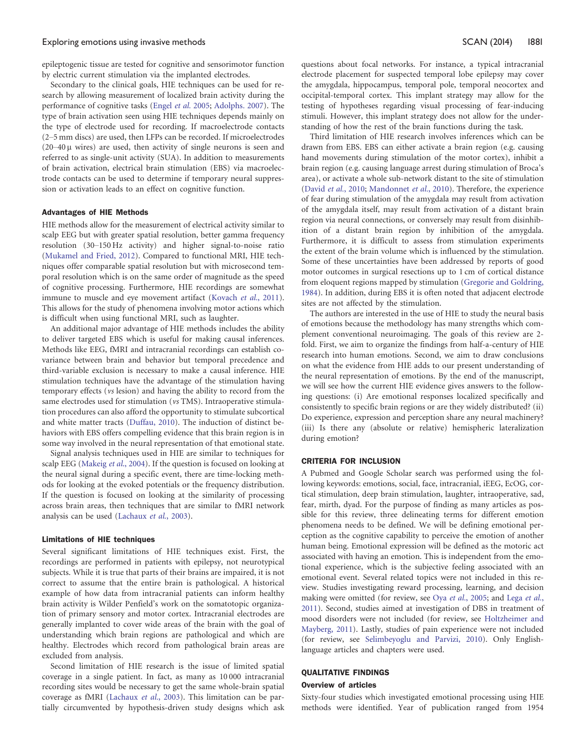## Exploring emotions using invasive methods **SCAN** (2014) 1881

epileptogenic tissue are tested for cognitive and sensorimotor function by electric current stimulation via the implanted electrodes.

Secondary to the clinical goals, HIE techniques can be used for research by allowing measurement of localized brain activity during the performance of cognitive tasks ([Engel](#page-9-0) et al. 2005; [Adolphs](#page-9-0). 2007). The type of brain activation seen using HIE techniques depends mainly on the type of electrode used for recording. If macroelectrode contacts (2–5 mm discs) are used, then LFPs can be recorded. If microelectrodes  $(20-40 \mu$  wires) are used, then activity of single neurons is seen and referred to as single-unit activity (SUA). In addition to measurements of brain activation, electrical brain stimulation (EBS) via macroelectrode contacts can be used to determine if temporary neural suppression or activation leads to an effect on cognitive function.

# Advantages of HIE Methods

HIE methods allow for the measurement of electrical activity similar to scalp EEG but with greater spatial resolution, better gamma frequency resolution (30–150 Hz activity) and higher signal-to-noise ratio ([Mukamel and Fried, 2012\)](#page-10-0). Compared to functional MRI, HIE techniques offer comparable spatial resolution but with microsecond temporal resolution which is on the same order of magnitude as the speed of cognitive processing. Furthermore, HIE recordings are somewhat immune to muscle and eye movement artifact ([Kovach](#page-9-0) et al., 2011). This allows for the study of phenomena involving motor actions which is difficult when using functional MRI, such as laughter.

An additional major advantage of HIE methods includes the ability to deliver targeted EBS which is useful for making causal inferences. Methods like EEG, fMRI and intracranial recordings can establish covariance between brain and behavior but temporal precedence and third-variable exclusion is necessary to make a causal inference. HIE stimulation techniques have the advantage of the stimulation having temporary effects (vs lesion) and having the ability to record from the same electrodes used for stimulation (vs TMS). Intraoperative stimulation procedures can also afford the opportunity to stimulate subcortical and white matter tracts ([Duffau, 2010\)](#page-9-0). The induction of distinct behaviors with EBS offers compelling evidence that this brain region is in some way involved in the neural representation of that emotional state.

Signal analysis techniques used in HIE are similar to techniques for scalp EEG ([Makeig](#page-10-0) et al., 2004). If the question is focused on looking at the neural signal during a specific event, there are time-locking methods for looking at the evoked potentials or the frequency distribution. If the question is focused on looking at the similarity of processing across brain areas, then techniques that are similar to fMRI network analysis can be used ([Lachaux](#page-9-0) et al., 2003).

#### Limitations of HIE techniques

Several significant limitations of HIE techniques exist. First, the recordings are performed in patients with epilepsy, not neurotypical subjects. While it is true that parts of their brains are impaired, it is not correct to assume that the entire brain is pathological. A historical example of how data from intracranial patients can inform healthy brain activity is Wilder Penfield's work on the somatotopic organization of primary sensory and motor cortex. Intracranial electrodes are generally implanted to cover wide areas of the brain with the goal of understanding which brain regions are pathological and which are healthy. Electrodes which record from pathological brain areas are excluded from analysis.

Second limitation of HIE research is the issue of limited spatial coverage in a single patient. In fact, as many as 10 000 intracranial recording sites would be necessary to get the same whole-brain spatial coverage as fMRI ([Lachaux](#page-9-0) et al., 2003). This limitation can be partially circumvented by hypothesis-driven study designs which ask

questions about focal networks. For instance, a typical intracranial electrode placement for suspected temporal lobe epilepsy may cover the amygdala, hippocampus, temporal pole, temporal neocortex and occipital-temporal cortex. This implant strategy may allow for the testing of hypotheses regarding visual processing of fear-inducing stimuli. However, this implant strategy does not allow for the understanding of how the rest of the brain functions during the task.

Third limitation of HIE research involves inferences which can be drawn from EBS. EBS can either activate a brain region (e.g. causing hand movements during stimulation of the motor cortex), inhibit a brain region (e.g. causing language arrest during stimulation of Broca's area), or activate a whole sub-network distant to the site of stimulation (David et al.[, 2010](#page-9-0); [Mandonnet](#page-10-0) et al., 2010). Therefore, the experience of fear during stimulation of the amygdala may result from activation of the amygdala itself, may result from activation of a distant brain region via neural connections, or conversely may result from disinhibition of a distant brain region by inhibition of the amygdala. Furthermore, it is difficult to assess from stimulation experiments the extent of the brain volume which is influenced by the stimulation. Some of these uncertainties have been addressed by reports of good motor outcomes in surgical resections up to 1 cm of cortical distance from eloquent regions mapped by stimulation [\(Gregorie and Goldring,](#page-9-0) [1984\)](#page-9-0). In addition, during EBS it is often noted that adjacent electrode sites are not affected by the stimulation.

The authors are interested in the use of HIE to study the neural basis of emotions because the methodology has many strengths which complement conventional neuroimaging. The goals of this review are 2 fold. First, we aim to organize the findings from half-a-century of HIE research into human emotions. Second, we aim to draw conclusions on what the evidence from HIE adds to our present understanding of the neural representation of emotions. By the end of the manuscript, we will see how the current HIE evidence gives answers to the following questions: (i) Are emotional responses localized specifically and consistently to specific brain regions or are they widely distributed? (ii) Do experience, expression and perception share any neural machinery? (iii) Is there any (absolute or relative) hemispheric lateralization during emotion?

#### CRITERIA FOR INCLUSION

A Pubmed and Google Scholar search was performed using the following keywords: emotions, social, face, intracranial, iEEG, EcOG, cortical stimulation, deep brain stimulation, laughter, intraoperative, sad, fear, mirth, dyad. For the purpose of finding as many articles as possible for this review, three delineating terms for different emotion phenomena needs to be defined. We will be defining emotional perception as the cognitive capability to perceive the emotion of another human being. Emotional expression will be defined as the motoric act associated with having an emotion. This is independent from the emotional experience, which is the subjective feeling associated with an emotional event. Several related topics were not included in this review. Studies investigating reward processing, learning, and decision making were omitted (for review, see Oya et al.[, 2005](#page-10-0); and Lega [et al.](#page-10-0), [2011\)](#page-10-0). Second, studies aimed at investigation of DBS in treatment of mood disorders were not included (for review, see [Holtzheimer and](#page-9-0) [Mayberg, 2011\)](#page-9-0). Lastly, studies of pain experience were not included (for review, see [Selimbeyoglu and Parvizi, 2010](#page-10-0)). Only Englishlanguage articles and chapters were used.

# QUALITATIVE FINDINGS

# Overview of articles

Sixty-four studies which investigated emotional processing using HIE methods were identified. Year of publication ranged from 1954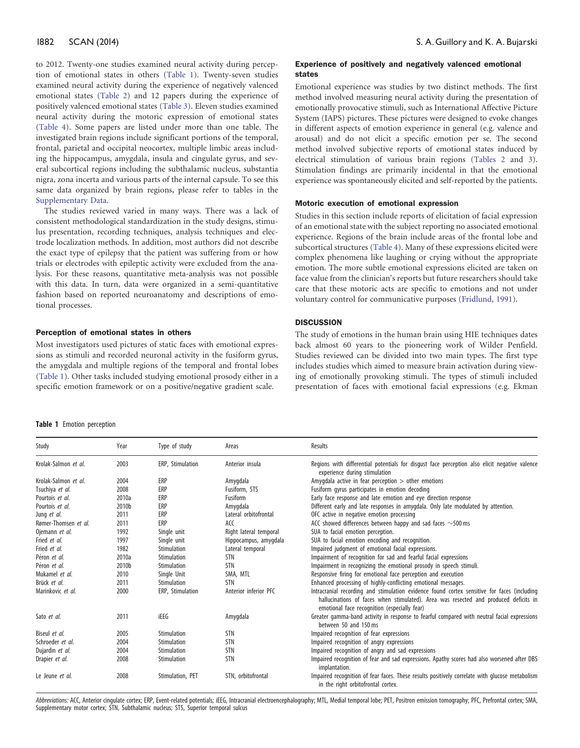<span id="page-3-0"></span>to 2012. Twenty-one studies examined neural activity during perception of emotional states in others (Table 1). Twenty-seven studies examined neural activity during the experience of negatively valenced emotional states ([Table 2](#page-4-0)) and 12 papers during the experience of positively valenced emotional states ([Table 3](#page-5-0)). Eleven studies examined neural activity during the motoric expression of emotional states [\(Table 4\)](#page-5-0). Some papers are listed under more than one table. The investigated brain regions include significant portions of the temporal, frontal, parietal and occipital neocortex, multiple limbic areas including the hippocampus, amygdala, insula and cingulate gyrus, and several subcortical regions including the subthalamic nucleus, substantia nigra, zona incerta and various parts of the internal capsule. To see this same data organized by brain regions, please refer to tables in the [Supplementary Data.](http://scan.oxfordjournals.org/lookup/suppl/doi:10.1093/scan/nsu002/-/DC1)

The studies reviewed varied in many ways. There was a lack of consistent methodological standardization in the study designs, stimulus presentation, recording techniques, analysis techniques and electrode localization methods. In addition, most authors did not describe the exact type of epilepsy that the patient was suffering from or how trials or electrodes with epileptic activity were excluded from the analysis. For these reasons, quantitative meta-analysis was not possible with this data. In turn, data were organized in a semi-quantitative fashion based on reported neuroanatomy and descriptions of emotional processes.

#### Perception of emotional states in others

Most investigators used pictures of static faces with emotional expressions as stimuli and recorded neuronal activity in the fusiform gyrus, the amygdala and multiple regions of the temporal and frontal lobes (Table 1). Other tasks included studying emotional prosody either in a specific emotion framework or on a positive/negative gradient scale.

#### Table 1 Emotion perception

# Experience of positively and negatively valenced emotional states

Emotional experience was studies by two distinct methods. The first method involved measuring neural activity during the presentation of emotionally provocative stimuli, such as International Affective Picture System (IAPS) pictures. These pictures were designed to evoke changes in different aspects of emotion experience in general (e.g. valence and arousal) and do not elicit a specific emotion per se. The second method involved subjective reports of emotional states induced by electrical stimulation of various brain regions ([Tables 2](#page-4-0) and [3](#page-5-0)). Stimulation findings are primarily incidental in that the emotional experience was spontaneously elicited and self-reported by the patients.

## Motoric execution of emotional expression

Studies in this section include reports of elicitation of facial expression of an emotional state with the subject reporting no associated emotional experience. Regions of the brain include areas of the frontal lobe and subcortical structures [\(Table 4](#page-5-0)). Many of these expressions elicited were complex phenomena like laughing or crying without the appropriate emotion. The more subtle emotional expressions elicited are taken on face value from the clinician's reports but future researchers should take care that these motoric acts are specific to emotions and not under voluntary control for communicative purposes ([Fridlund, 1991](#page-9-0)).

# **DISCUSSION**

The study of emotions in the human brain using HIE techniques dates back almost 60 years to the pioneering work of Wilder Penfield. Studies reviewed can be divided into two main types. The first type includes studies which aimed to measure brain activation during viewing of emotionally provoking stimuli. The types of stimuli included presentation of faces with emotional facial expressions (e.g. Ekman

| Study                | Year              | Type of study    | Areas                  | Results                                                                                                                                                                                                                             |
|----------------------|-------------------|------------------|------------------------|-------------------------------------------------------------------------------------------------------------------------------------------------------------------------------------------------------------------------------------|
| Krolak-Salmon et al. | 2003              | ERP, Stimulation | Anterior insula        | Regions with differential potentials for disgust face perception also elicit negative valence<br>experience during stimulation                                                                                                      |
| Krolak-Salmon et al. | 2004              | ERP              | Amygdala               | Amygdala active in fear perception $>$ other emotions                                                                                                                                                                               |
| Tsuchiya et al.      | 2008              | ERP              | Fusiform, STS          | Fusiform gyrus participates in emotion decoding                                                                                                                                                                                     |
| Pourtois et al.      | 2010a             | ERP              | Fusiform               | Early face response and late emotion and eye direction response                                                                                                                                                                     |
| Pourtois et al.      | 2010 <sub>b</sub> | ERP              | Amygdala               | Different early and late responses in amygdala. Only late modulated by attention.                                                                                                                                                   |
| Jung et al.          | 2011              | ERP              | Lateral orbitofrontal  | OFC active in negative emotion processing                                                                                                                                                                                           |
| Rømer-Thomsen et al. | 2011              | ERP              | ACC                    | ACC showed differences between happy and sad faces $\sim$ 500 ms                                                                                                                                                                    |
| Ojemann et al.       | 1992              | Single unit      | Right lateral temporal | SUA to facial emotion perception.                                                                                                                                                                                                   |
| Fried et al.         | 1997              | Single unit      | Hippocampus, amygdala  | SUA to facial emotion encoding and recognition.                                                                                                                                                                                     |
| Fried et al.         | 1982              | Stimulation      | Lateral temporal       | Impaired judgment of emotional facial expressions.                                                                                                                                                                                  |
| Péron et al.         | 2010a             | Stimulation      | <b>STN</b>             | Impairment of recognition for sad and fearful facial expressions                                                                                                                                                                    |
| Péron et al.         | 2010b             | Stimulation      | <b>STN</b>             | Impairment in recognizing the emotional prosody in speech stimuli.                                                                                                                                                                  |
| Mukamel et al.       | 2010              | Single Unit      | SMA, MTL               | Responsive firing for emotional face perception and execution                                                                                                                                                                       |
| Brück et al.         | 2011              | Stimulation      | <b>STN</b>             | Enhanced processing of highly-conflicting emotional messages.                                                                                                                                                                       |
| Marinkovic et al.    | 2000              | ERP, Stimulation | Anterior inferior PFC  | Intracranial recording and stimulation evidence found cortex sensitive for faces (including<br>hallucinations of faces when stimulated). Area was resected and produced deficits in<br>emotional face recognition (especially fear) |
| Sato et al.          | 2011              | iEEG             | Amygdala               | Greater gamma-band activity in response to fearful compared with neutral facial expressions<br>between 50 and 150 ms                                                                                                                |
| Biseul et al.        | 2005              | Stimulation      | <b>STN</b>             | Impaired recognition of fear expressions                                                                                                                                                                                            |
| Schroeder et al.     | 2004              | Stimulation      | <b>STN</b>             | Impaired recognition of angry expressions                                                                                                                                                                                           |
| Dujardin et al.      | 2004              | Stimulation      | <b>STN</b>             | Impaired recognition of angry and sad expressions                                                                                                                                                                                   |
| Drapier et al.       | 2008              | Stimulation      | <b>STN</b>             | Impaired recognition of fear and sad expressions. Apathy scores had also worsened after DBS<br>implantation.                                                                                                                        |
| Le Jeune et al.      | 2008              | Stimulation, PET | STN, orbitofrontal     | Impaired recognition of fear faces. These results positively correlate with glucose metabolism<br>in the right orbitofrontal cortex.                                                                                                |

Abbreviations: ACC, Anterior cingulate cortex; ERP, Event-related potentials; iEEG, Intracranial electroencephalography; MTL, Medial temporal lobe; PET, Positron emission tomography; PFC, Prefrontal cortex; SMA, Supplementary motor cortex; STN, Subthalamic nucleus; STS, Superior temporal sulcus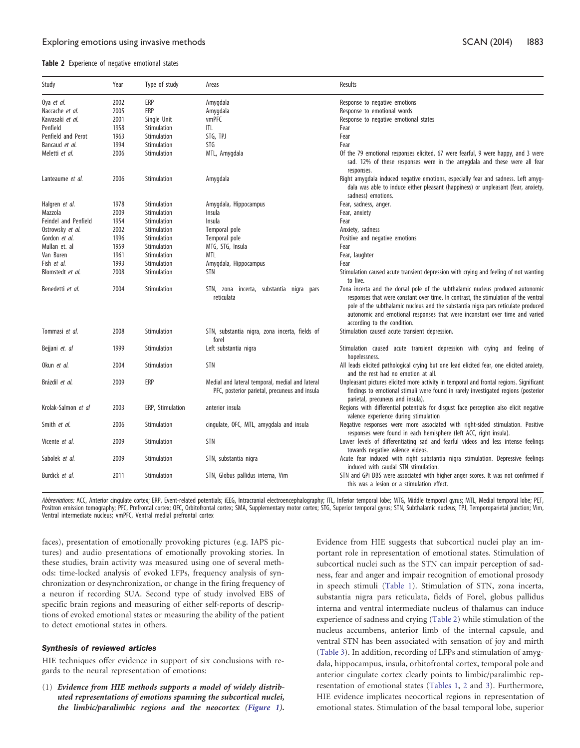<span id="page-4-0"></span>Table 2 Experience of negative emotional states

| Study                       | Year | Type of study    | Areas                                                                                            | Results                                                                                                                                                                                                                                                                                                                                                                  |
|-----------------------------|------|------------------|--------------------------------------------------------------------------------------------------|--------------------------------------------------------------------------------------------------------------------------------------------------------------------------------------------------------------------------------------------------------------------------------------------------------------------------------------------------------------------------|
| Oya et al.                  | 2002 | <b>ERP</b>       | Amygdala                                                                                         | Response to negative emotions                                                                                                                                                                                                                                                                                                                                            |
| Naccache et al.             | 2005 | <b>ERP</b>       | Amygdala                                                                                         | Response to emotional words                                                                                                                                                                                                                                                                                                                                              |
| Kawasaki et al.             | 2001 | Single Unit      | vmPFC                                                                                            | Response to negative emotional states                                                                                                                                                                                                                                                                                                                                    |
| Penfield                    | 1958 | Stimulation      | ITL                                                                                              | Fear                                                                                                                                                                                                                                                                                                                                                                     |
| Penfield and Perot          | 1963 | Stimulation      | STG, TPJ                                                                                         | Fear                                                                                                                                                                                                                                                                                                                                                                     |
| Bancaud et al.              | 1994 | Stimulation      | STG                                                                                              | Fear                                                                                                                                                                                                                                                                                                                                                                     |
| Meletti et al.              | 2006 | Stimulation      | MTL, Amygdala                                                                                    | Of the 79 emotional responses elicited, 67 were fearful, 9 were happy, and 3 were<br>sad. 12% of these responses were in the amygdala and these were all fear<br>responses.                                                                                                                                                                                              |
| Lanteaume et al.            | 2006 | Stimulation      | Amygdala                                                                                         | Right amygdala induced negative emotions, especially fear and sadness. Left amyg-<br>dala was able to induce either pleasant (happiness) or unpleasant (fear, anxiety,<br>sadness) emotions.                                                                                                                                                                             |
| Halgren et al.              | 1978 | Stimulation      | Amygdala, Hippocampus                                                                            | Fear, sadness, anger.                                                                                                                                                                                                                                                                                                                                                    |
| Mazzola                     | 2009 | Stimulation      | Insula                                                                                           | Fear, anxiety                                                                                                                                                                                                                                                                                                                                                            |
| <b>Feindel and Penfield</b> | 1954 | Stimulation      | Insula                                                                                           | Fear                                                                                                                                                                                                                                                                                                                                                                     |
| Ostrowsky et al.            | 2002 | Stimulation      | Temporal pole                                                                                    | Anxiety, sadness                                                                                                                                                                                                                                                                                                                                                         |
| Gordon et al.               | 1996 | Stimulation      | Temporal pole                                                                                    | Positive and negative emotions                                                                                                                                                                                                                                                                                                                                           |
| Mullan et. al               | 1959 | Stimulation      | MTG, STG, Insula                                                                                 | Fear                                                                                                                                                                                                                                                                                                                                                                     |
| Van Buren                   | 1961 | Stimulation      | MTL                                                                                              | Fear, laughter                                                                                                                                                                                                                                                                                                                                                           |
| Fish et al.                 | 1993 | Stimulation      | Amygdala, Hippocampus                                                                            | Fear                                                                                                                                                                                                                                                                                                                                                                     |
| Blomstedt et al.            | 2008 | Stimulation      | <b>STN</b>                                                                                       | Stimulation caused acute transient depression with crying and feeling of not wanting<br>to live.                                                                                                                                                                                                                                                                         |
| Benedetti et al.            | 2004 | Stimulation      | STN, zona incerta, substantia nigra pars<br>reticulata                                           | Zona incerta and the dorsal pole of the subthalamic nucleus produced autonomic<br>responses that were constant over time. In contrast, the stimulation of the ventral<br>pole of the subthalamic nucleus and the substantia nigra pars reticulate produced<br>autonomic and emotional responses that were inconstant over time and varied<br>according to the condition. |
| Tommasi et al.              | 2008 | Stimulation      | STN, substantia nigra, zona incerta, fields of<br>forel                                          | Stimulation caused acute transient depression.                                                                                                                                                                                                                                                                                                                           |
| Bejjani et. al              | 1999 | Stimulation      | Left substantia nigra                                                                            | Stimulation caused acute transient depression with crying and feeling of<br>hopelessness.                                                                                                                                                                                                                                                                                |
| Okun et al.                 | 2004 | Stimulation      | <b>STN</b>                                                                                       | All leads elicited pathological crying but one lead elicited fear, one elicited anxiety,<br>and the rest had no emotion at all.                                                                                                                                                                                                                                          |
| Brázdil et al.              | 2009 | <b>ERP</b>       | Medial and lateral temporal, medial and lateral<br>PFC, posterior parietal, precuneus and insula | Unpleasant pictures elicited more activity in temporal and frontal regions. Significant<br>findings to emotional stimuli were found in rarely investigated regions (posterior<br>parietal, precuneus and insula).                                                                                                                                                        |
| Krolak-Salmon et al         | 2003 | ERP, Stimulation | anterior insula                                                                                  | Regions with differential potentials for disgust face perception also elicit negative<br>valence experience during stimulation                                                                                                                                                                                                                                           |
| Smith et al.                | 2006 | Stimulation      | cingulate, OFC, MTL, amygdala and insula                                                         | Negative responses were more associated with right-sided stimulation. Positive<br>responses were found in each hemisphere (left ACC, right insula).                                                                                                                                                                                                                      |
| Vicente et al.              | 2009 | Stimulation      | <b>STN</b>                                                                                       | Lower levels of differentiating sad and fearful videos and less intense feelings<br>towards negative valence videos.                                                                                                                                                                                                                                                     |
| Sabolek et al.              | 2009 | Stimulation      | STN, substantia nigra                                                                            | Acute fear induced with right substantia nigra stimulation. Depressive feelings<br>induced with caudal STN stimulation.                                                                                                                                                                                                                                                  |
| Burdick et al.              | 2011 | Stimulation      | STN, Globus pallidus interna, Vim                                                                | STN and GPi DBS were associated with higher anger scores. It was not confirmed if<br>this was a lesion or a stimulation effect.                                                                                                                                                                                                                                          |

Abbreviations: ACC, Anterior cingulate cortex; ERP, Event-related potentials; iEEG, Intracranial electroencephalography; ITL, Inferior temporal lobe; MTG, Middle temporal gyrus; MTL, Medial temporal lobe; PET, Positron emission tomography; PFC, Prefrontal cortex; OFC, Orbitofrontal cortex; SMA, Supplementary motor cortex; STG, Superior temporal gyrus; STN, Subthalamic nucleus; TPJ, Temporoparietal junction; Vim, Ventral intermediate nucleus; vmPFC, Ventral medial prefrontal cortex

faces), presentation of emotionally provoking pictures (e.g. IAPS pictures) and audio presentations of emotionally provoking stories. In these studies, brain activity was measured using one of several methods: time-locked analysis of evoked LFPs, frequency analysis of synchronization or desynchronization, or change in the firing frequency of a neuron if recording SUA. Second type of study involved EBS of specific brain regions and measuring of either self-reports of descriptions of evoked emotional states or measuring the ability of the patient to detect emotional states in others.

# Synthesis of reviewed articles

HIE techniques offer evidence in support of six conclusions with regards to the neural representation of emotions:

(1) Evidence from HIE methods supports a model of widely distributed representations of emotions spanning the subcortical nuclei, the limbic/paralimbic regions and the neocortex [\(Figure 1\)](#page-6-0). Evidence from HIE suggests that subcortical nuclei play an important role in representation of emotional states. Stimulation of subcortical nuclei such as the STN can impair perception of sadness, fear and anger and impair recognition of emotional prosody in speech stimuli ([Table 1](#page-3-0)). Stimulation of STN, zona incerta, substantia nigra pars reticulata, fields of Forel, globus pallidus interna and ventral intermediate nucleus of thalamus can induce experience of sadness and crying (Table 2) while stimulation of the nucleus accumbens, anterior limb of the internal capsule, and ventral STN has been associated with sensation of joy and mirth ([Table 3](#page-5-0)). In addition, recording of LFPs and stimulation of amygdala, hippocampus, insula, orbitofrontal cortex, temporal pole and anterior cingulate cortex clearly points to limbic/paralimbic representation of emotional states ([Tables 1,](#page-3-0) 2 and [3](#page-5-0)). Furthermore, HIE evidence implicates neocortical regions in representation of emotional states. Stimulation of the basal temporal lobe, superior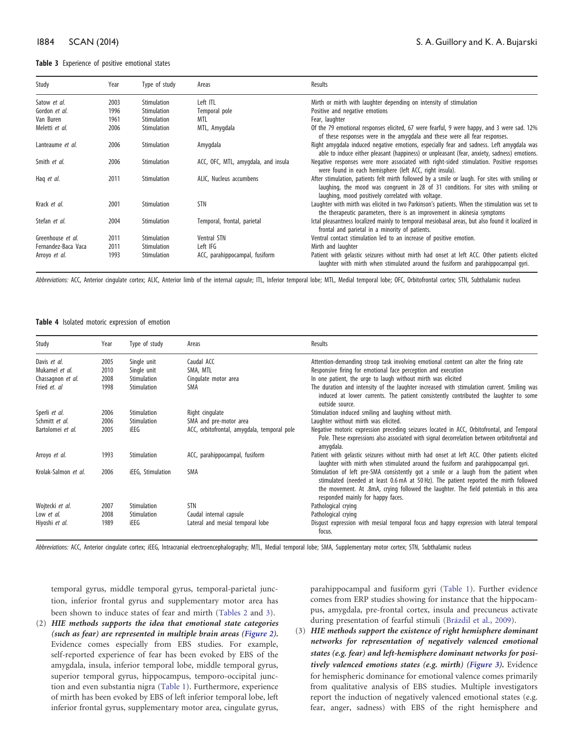#### <span id="page-5-0"></span>Table 3 Experience of positive emotional states

| Study               | Year | Type of study      | Areas                               | Results                                                                                                                                                                                                                                    |
|---------------------|------|--------------------|-------------------------------------|--------------------------------------------------------------------------------------------------------------------------------------------------------------------------------------------------------------------------------------------|
| Satow et al.        | 2003 | <b>Stimulation</b> | Left ITL                            | Mirth or mirth with laughter depending on intensity of stimulation                                                                                                                                                                         |
| Gordon et al.       | 1996 | <b>Stimulation</b> | Temporal pole                       | Positive and negative emotions                                                                                                                                                                                                             |
| Van Buren           | 1961 | <b>Stimulation</b> | MTL.                                | Fear, laughter                                                                                                                                                                                                                             |
| Meletti et al.      | 2006 | <b>Stimulation</b> | MTL, Amygdala                       | Of the 79 emotional responses elicited, 67 were fearful, 9 were happy, and 3 were sad. 12%<br>of these responses were in the amygdala and these were all fear responses.                                                                   |
| Lanteaume et al.    | 2006 | <b>Stimulation</b> | Amygdala                            | Right amygdala induced negative emotions, especially fear and sadness. Left amygdala was<br>able to induce either pleasant (happiness) or unpleasant (fear, anxiety, sadness) emotions.                                                    |
| Smith et al.        | 2006 | <b>Stimulation</b> | ACC, OFC, MTL, amygdala, and insula | Negative responses were more associated with right-sided stimulation. Positive responses<br>were found in each hemisphere (left ACC, right insula).                                                                                        |
| Hag et al.          | 2011 | <b>Stimulation</b> | ALIC, Nucleus accumbens             | After stimulation, patients felt mirth followed by a smile or laugh. For sites with smiling or<br>laughing, the mood was congruent in 28 of 31 conditions. For sites with smiling or<br>laughing, mood positively correlated with voltage. |
| Krack et al.        | 2001 | <b>Stimulation</b> | <b>STN</b>                          | Laughter with mirth was elicited in two Parkinson's patients. When the stimulation was set to<br>the therapeutic parameters, there is an improvement in akinesia symptoms                                                                  |
| Stefan et al.       | 2004 | <b>Stimulation</b> | Temporal, frontal, parietal         | Ictal pleasantness localized mainly to temporal mesiobasal areas, but also found it localized in<br>frontal and parietal in a minority of patients.                                                                                        |
| Greenhouse et al.   | 2011 | <b>Stimulation</b> | Ventral STN                         | Ventral contact stimulation led to an increase of positive emotion.                                                                                                                                                                        |
| Fernandez-Baca Vaca | 2011 | <b>Stimulation</b> | Left IFG                            | Mirth and laughter                                                                                                                                                                                                                         |
| Arroyo et al.       | 1993 | <b>Stimulation</b> | ACC, parahippocampal, fusiform      | Patient with gelastic seizures without mirth had onset at left ACC. Other patients elicited<br>laughter with mirth when stimulated around the fusiform and parahippocampal gyri.                                                           |

Abbreviations: ACC, Anterior cinqulate cortex; ALIC, Anterior limb of the internal capsule; ITL, Inferior temporal lobe; MTL, Medial temporal lobe; OFC, Orbitofrontal cortex; STN, Subthalamic nucleus

#### Table 4 Isolated motoric expression of emotion

| Study                | Year | Type of study     | Areas                                       | <b>Results</b>                                                                                                                                                                                                                                                                                                |
|----------------------|------|-------------------|---------------------------------------------|---------------------------------------------------------------------------------------------------------------------------------------------------------------------------------------------------------------------------------------------------------------------------------------------------------------|
| Davis et al.         | 2005 | Single unit       | Caudal ACC                                  | Attention-demanding stroop task involving emotional content can alter the firing rate                                                                                                                                                                                                                         |
| Mukamel et al.       | 2010 | Single unit       | SMA, MTL                                    | Responsive firing for emotional face perception and execution                                                                                                                                                                                                                                                 |
| Chassagnon et al.    | 2008 | Stimulation       | Cingulate motor area                        | In one patient, the urge to laugh without mirth was elicited                                                                                                                                                                                                                                                  |
| Fried et. al         | 1998 | Stimulation       | SMA                                         | The duration and intensity of the laughter increased with stimulation current. Smiling was<br>induced at lower currents. The patient consistently contributed the laughter to some<br>outside source.                                                                                                         |
| Sperli et al.        | 2006 | Stimulation       | Right cingulate                             | Stimulation induced smiling and laughing without mirth.                                                                                                                                                                                                                                                       |
| Schmitt et al.       | 2006 | Stimulation       | SMA and pre-motor area                      | Laughter without mirth was elicited.                                                                                                                                                                                                                                                                          |
| Bartolomei et al.    | 2005 | iEEG              | ACC, orbitofrontal, amygdala, temporal pole | Negative motoric expression preceding seizures located in ACC, Orbitofrontal, and Temporal<br>Pole. These expressions also associated with signal decorrelation between orbitofrontal and<br>amyqdala.                                                                                                        |
| Arroyo et al.        | 1993 | Stimulation       | ACC, parahippocampal, fusiform              | Patient with gelastic seizures without mirth had onset at left ACC. Other patients elicited<br>laughter with mirth when stimulated around the fusiform and parahippocampal gyri.                                                                                                                              |
| Krolak-Salmon et al. | 2006 | iEEG, Stimulation | SMA                                         | Stimulation of left pre-SMA consistently got a smile or a laugh from the patient when<br>stimulated (needed at least 0.6 mA at 50 Hz). The patient reported the mirth followed<br>the movement. At .8mA, crying followed the laughter. The field potentials in this area<br>responded mainly for happy faces. |
| Wojtecki et al.      | 2007 | Stimulation       | <b>STN</b>                                  | Pathological crying                                                                                                                                                                                                                                                                                           |
| Low et al.           | 2008 | Stimulation       | Caudal internal capsule                     | Pathological crying                                                                                                                                                                                                                                                                                           |
| Hiyoshi et al.       | 1989 | iEEG              | Lateral and mesial temporal lobe            | Disqust expression with mesial temporal focus and happy expression with lateral temporal<br>focus.                                                                                                                                                                                                            |

Abbreviations: ACC, Anterior cingulate cortex; iEEG, Intracranial electroencephalography; MTL, Medial temporal lobe; SMA, Supplementary motor cortex; STN, Subthalamic nucleus

temporal gyrus, middle temporal gyrus, temporal-parietal junction, inferior frontal gyrus and supplementary motor area has been shown to induce states of fear and mirth [\(Tables 2](#page-4-0) and 3).

(2) HIE methods supports the idea that emotional state categories (such as fear) are represented in multiple brain areas ([Figure 2](#page-7-0)). Evidence comes especially from EBS studies. For example, self-reported experience of fear has been evoked by EBS of the amygdala, insula, inferior temporal lobe, middle temporal gyrus, superior temporal gyrus, hippocampus, temporo-occipital junction and even substantia nigra ([Table 1\)](#page-3-0). Furthermore, experience of mirth has been evoked by EBS of left inferior temporal lobe, left inferior frontal gyrus, supplementary motor area, cingulate gyrus, parahippocampal and fusiform gyri [\(Table 1](#page-3-0)). Further evidence comes from ERP studies showing for instance that the hippocampus, amygdala, pre-frontal cortex, insula and precuneus activate during presentation of fearful stimuli (Brázdil et al., 2009).

(3) HIE methods support the existence of right hemisphere dominant networks for representation of negatively valenced emotional states (e.g. fear) and left-hemisphere dominant networks for positively valenced emotions states (e.g. mirth) ([Figure 3\)](#page-7-0). Evidence for hemispheric dominance for emotional valence comes primarily from qualitative analysis of EBS studies. Multiple investigators report the induction of negatively valenced emotional states (e.g. fear, anger, sadness) with EBS of the right hemisphere and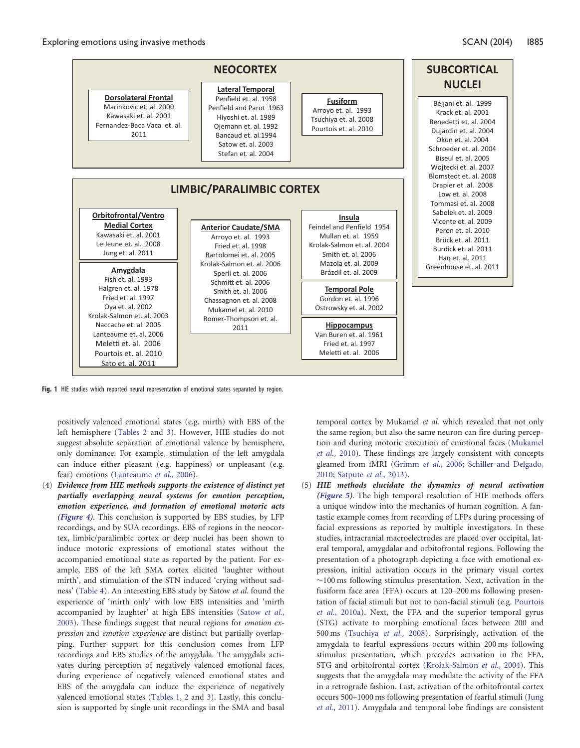<span id="page-6-0"></span>

Fig. 1 HIE studies which reported neural representation of emotional states separated by region.

positively valenced emotional states (e.g. mirth) with EBS of the left hemisphere [\(Tables 2](#page-4-0) and [3](#page-5-0)). However, HIE studies do not suggest absolute separation of emotional valence by hemisphere, only dominance. For example, stimulation of the left amygdala can induce either pleasant (e.g. happiness) or unpleasant (e.g. fear) emotions [\(Lanteaume](#page-9-0) et al., 2006).

(4) Evidence from HIE methods supports the existence of distinct yet partially overlapping neural systems for emotion perception, emotion experience, and formation of emotional motoric acts ([Figure 4\)](#page-7-0). This conclusion is supported by EBS studies, by LFP recordings, and by SUA recordings. EBS of regions in the neocortex, limbic/paralimbic cortex or deep nuclei has been shown to induce motoric expressions of emotional states without the accompanied emotional state as reported by the patient. For example, EBS of the left SMA cortex elicited 'laughter without mirth', and stimulation of the STN induced 'crying without sadness' [\(Table 4\)](#page-5-0). An interesting EBS study by Satow et al. found the experience of 'mirth only' with low EBS intensities and 'mirth accompanied by laughter' at high EBS intensities ([Satow](#page-10-0) et al., [2003\)](#page-10-0). These findings suggest that neural regions for emotion expression and emotion experience are distinct but partially overlapping. Further support for this conclusion comes from LFP recordings and EBS studies of the amygdala. The amygdala activates during perception of negatively valenced emotional faces, during experience of negatively valenced emotional states and EBS of the amygdala can induce the experience of negatively valenced emotional states ([Tables 1,](#page-3-0) [2](#page-4-0) and [3\)](#page-5-0). Lastly, this conclusion is supported by single unit recordings in the SMA and basal temporal cortex by Mukamel et al. which revealed that not only the same region, but also the same neuron can fire during perception and during motoric execution of emotional faces ([Mukamel](#page-10-0) et al.[, 2010\)](#page-10-0). These findings are largely consistent with concepts gleamed from fMRI [\(Grimm](#page-9-0) et al., 2006; [Schiller and Delgado,](#page-10-0) [2010;](#page-10-0) [Satpute](#page-10-0) et al., 2013).

(5) HIE methods elucidate the dynamics of neural activation ([Figure 5\)](#page-8-0). The high temporal resolution of HIE methods offers a unique window into the mechanics of human cognition. A fantastic example comes from recording of LFPs during processing of facial expressions as reported by multiple investigators. In these studies, intracranial macroelectrodes are placed over occipital, lateral temporal, amygdalar and orbitofrontal regions. Following the presentation of a photograph depicting a face with emotional expression, initial activation occurs in the primary visual cortex  $\sim$ 100 ms following stimulus presentation. Next, activation in the fusiform face area (FFA) occurs at 120–200 ms following presentation of facial stimuli but not to non-facial stimuli (e.g. [Pourtois](#page-10-0) et al.[, 2010a](#page-10-0)). Next, the FFA and the superior temporal gyrus (STG) activate to morphing emotional faces between 200 and 500 ms ([Tsuchiya](#page-10-0) et al., 2008). Surprisingly, activation of the amygdala to fearful expressions occurs within 200 ms following stimulus presentation, which precedes activation in the FFA, STG and orbitofrontal cortex [\(Krolak-Salmon](#page-9-0) et al., 2004). This suggests that the amygdala may modulate the activity of the FFA in a retrograde fashion. Last, activation of the orbitofrontal cortex occurs 500–1000 ms following presentation of fearful stimuli ([Jung](#page-9-0) et al.[, 2011](#page-9-0)). Amygdala and temporal lobe findings are consistent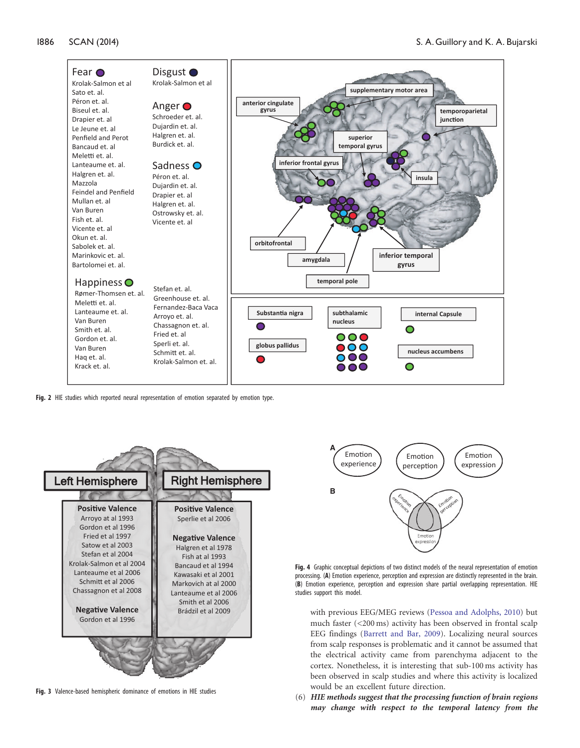<span id="page-7-0"></span>

Fig. 2 HIE studies which reported neural representation of emotion separated by emotion type.



Fig. 3 Valence-based hemispheric dominance of emotions in HIE studies



Fig. 4 Graphic conceptual depictions of two distinct models of the neural representation of emotion processing. (A) Emotion experience, perception and expression are distinctly represented in the brain. (B) Emotion experience, perception and expression share partial overlapping representation. HIE studies support this model.

with previous EEG/MEG reviews [\(Pessoa and Adolphs, 2010](#page-10-0)) but much faster (<200 ms) activity has been observed in frontal scalp EEG findings ([Barrett and Bar, 2009](#page-9-0)). Localizing neural sources from scalp responses is problematic and it cannot be assumed that the electrical activity came from parenchyma adjacent to the cortex. Nonetheless, it is interesting that sub-100 ms activity has been observed in scalp studies and where this activity is localized would be an excellent future direction.

(6) HIE methods suggest that the processing function of brain regions may change with respect to the temporal latency from the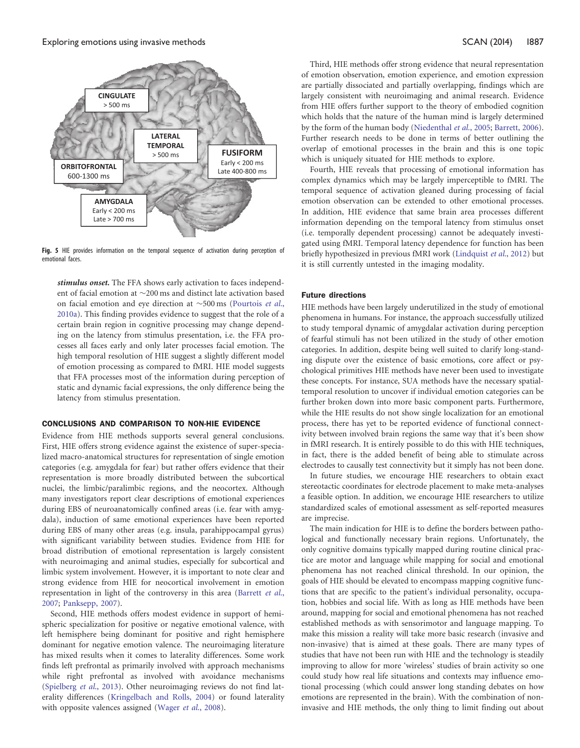<span id="page-8-0"></span>Exploring emotions using invasive methods **SCAN** (2014) 1887



Fig. 5 HIE provides information on the temporal sequence of activation during perception of emotional faces.

stimulus onset. The FFA shows early activation to faces independent of facial emotion at  $\sim$  200 ms and distinct late activation based on facial emotion and eye direction at  $\sim$  500 ms ([Pourtois](#page-10-0) et al., [2010a](#page-10-0)). This finding provides evidence to suggest that the role of a certain brain region in cognitive processing may change depending on the latency from stimulus presentation, i.e. the FFA processes all faces early and only later processes facial emotion. The high temporal resolution of HIE suggest a slightly different model of emotion processing as compared to fMRI. HIE model suggests that FFA processes most of the information during perception of static and dynamic facial expressions, the only difference being the latency from stimulus presentation.

### CONCLUSIONS AND COMPARISON TO NON-HIE EVIDENCE

Evidence from HIE methods supports several general conclusions. First, HIE offers strong evidence against the existence of super-specialized macro-anatomical structures for representation of single emotion categories (e.g. amygdala for fear) but rather offers evidence that their representation is more broadly distributed between the subcortical nuclei, the limbic/paralimbic regions, and the neocortex. Although many investigators report clear descriptions of emotional experiences during EBS of neuroanatomically confined areas (i.e. fear with amygdala), induction of same emotional experiences have been reported during EBS of many other areas (e.g. insula, parahippocampal gyrus) with significant variability between studies. Evidence from HIE for broad distribution of emotional representation is largely consistent with neuroimaging and animal studies, especially for subcortical and limbic system involvement. However, it is important to note clear and strong evidence from HIE for neocortical involvement in emotion representation in light of the controversy in this area [\(Barrett](#page-9-0) et al., [2007;](#page-9-0) [Panksepp, 2007\)](#page-10-0).

Second, HIE methods offers modest evidence in support of hemispheric specialization for positive or negative emotional valence, with left hemisphere being dominant for positive and right hemisphere dominant for negative emotion valence. The neuroimaging literature has mixed results when it comes to laterality differences. Some work finds left prefrontal as primarily involved with approach mechanisms while right prefrontal as involved with avoidance mechanisms ([Spielberg](#page-10-0) et al[., 2013\)](#page-10-0). Other neuroimaging reviews do not find laterality differences ([Kringelbach and Rolls, 2004\)](#page-9-0) or found laterality with opposite valences assigned (Wager et al[., 2008](#page-10-0)).

Third, HIE methods offer strong evidence that neural representation of emotion observation, emotion experience, and emotion expression are partially dissociated and partially overlapping, findings which are largely consistent with neuroimaging and animal research. Evidence from HIE offers further support to the theory of embodied cognition which holds that the nature of the human mind is largely determined by the form of the human body [\(Niedenthal](#page-10-0) et al., 2005; [Barrett, 2006\)](#page-9-0). Further research needs to be done in terms of better outlining the overlap of emotional processes in the brain and this is one topic which is uniquely situated for HIE methods to explore.

Fourth, HIE reveals that processing of emotional information has complex dynamics which may be largely imperceptible to fMRI. The temporal sequence of activation gleaned during processing of facial emotion observation can be extended to other emotional processes. In addition, HIE evidence that same brain area processes different information depending on the temporal latency from stimulus onset (i.e. temporally dependent processing) cannot be adequately investigated using fMRI. Temporal latency dependence for function has been briefly hypothesized in previous fMRI work [\(Lindquist](#page-10-0) et al., 2012) but it is still currently untested in the imaging modality.

# Future directions

HIE methods have been largely underutilized in the study of emotional phenomena in humans. For instance, the approach successfully utilized to study temporal dynamic of amygdalar activation during perception of fearful stimuli has not been utilized in the study of other emotion categories. In addition, despite being well suited to clarify long-standing dispute over the existence of basic emotions, core affect or psychological primitives HIE methods have never been used to investigate these concepts. For instance, SUA methods have the necessary spatialtemporal resolution to uncover if individual emotion categories can be further broken down into more basic component parts. Furthermore, while the HIE results do not show single localization for an emotional process, there has yet to be reported evidence of functional connectivity between involved brain regions the same way that it's been show in fMRI research. It is entirely possible to do this with HIE techniques, in fact, there is the added benefit of being able to stimulate across electrodes to causally test connectivity but it simply has not been done.

In future studies, we encourage HIE researchers to obtain exact stereotactic coordinates for electrode placement to make meta-analyses a feasible option. In addition, we encourage HIE researchers to utilize standardized scales of emotional assessment as self-reported measures are imprecise.

The main indication for HIE is to define the borders between pathological and functionally necessary brain regions. Unfortunately, the only cognitive domains typically mapped during routine clinical practice are motor and language while mapping for social and emotional phenomena has not reached clinical threshold. In our opinion, the goals of HIE should be elevated to encompass mapping cognitive functions that are specific to the patient's individual personality, occupation, hobbies and social life. With as long as HIE methods have been around, mapping for social and emotional phenomena has not reached established methods as with sensorimotor and language mapping. To make this mission a reality will take more basic research (invasive and non-invasive) that is aimed at these goals. There are many types of studies that have not been run with HIE and the technology is steadily improving to allow for more 'wireless' studies of brain activity so one could study how real life situations and contexts may influence emotional processing (which could answer long standing debates on how emotions are represented in the brain). With the combination of noninvasive and HIE methods, the only thing to limit finding out about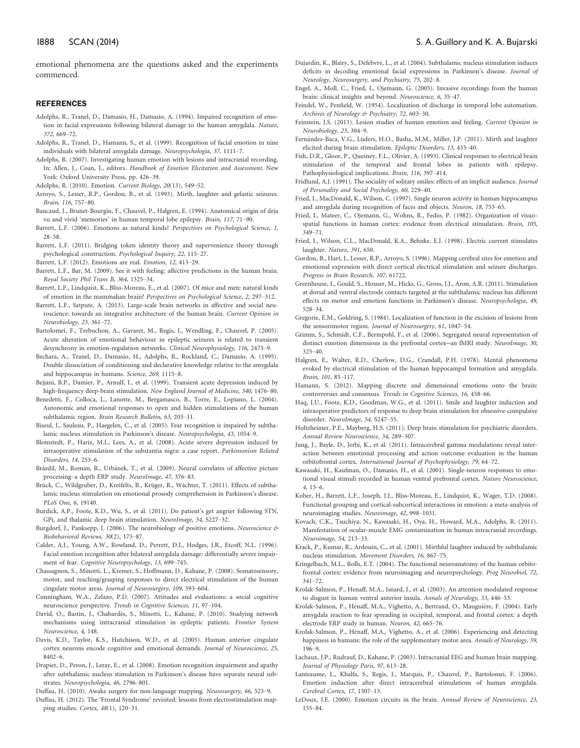<span id="page-9-0"></span>emotional phenomena are the questions asked and the experiments commenced.

#### **REFERENCES**

- Adolphs, R., Tranel, D., Damasio, H., Damasio, A. (1994). Impaired recognition of emotion in facial expressions following bilateral damage to the human amygdala. Nature, 372, 669–72.
- Adolphs, R., Tranel, D., Hamann, S., et al. (1999). Recognition of facial emotion in nine individuals with bilateral amygdala damage. Neuropsychologia, 37, 1111–7.
- Adolphs, R. (2007). Investigating human emotion with lesions and intracranial recording. In: Allen, J., Coan, J., editors. Handbook of Emotion Elicitation and Assessment. New York: Oxford University Press, pp. 426–39.

Adolphs, R. (2010). Emotion. Current Biology, 20(13), 549–52.

- Arroyo, S., Lesser, R.P., Gordon, B., et al. (1993). Mirth, laughter and gelastic seizures. Brain, 116, 757–80.
- Bancaud, J., Brunet-Bourgin, F., Chauvel, P., Halgren, E. (1994). Anatomical origin of deja vu and vivid 'memories' in human temporal lobe epilepsy. Brain, 117, 71–90.
- Barrett, L.F. (2006). Emotions as natural kinds? Perspectives on Psychological Science, 1, 28–58.
- Barrett, L.F. (2011). Bridging token identity theory and supervenience theory through psychological construction. Psychological Inquiry, 22, 115–27.
- Barrett, L.F. (2012). Emotions are real. Emotion, 12, 413–29.
- Barrett, L.F., Bar, M. (2009). See it with feeling: affective predictions in the human brain. Royal Society Phil Trans B, 364, 1325–34.
- Barrett, L.F., Lindquist, K., Bliss-Moreau, E., et al. (2007). Of mice and men: natural kinds of emotion in the mammalian brain? Perspectives on Psychological Science, 2, 297–312.
- Barrett, L.F., Satpute, A. (2013). Large-scale brain networks in affective and social neuroscience: towards an integrative architecture of the human brain. Current Opinion in Neurobiology, 23, 361–72.
- Bartolomei, F., Trebuchon, A., Gavaret, M., Regis, J., Wendling, F., Chauvel, P. (2005). Acute alteration of emotional behaviour in epileptic seizures is related to transient desynchrony in emotion-regulation networks. Clinical Neurophysiology, 116, 2473–9.
- Bechara, A., Tranel, D., Damasio, H., Adolphs, R., Rockland, C., Damasio, A. (1995). Double dissociation of conditioning and declarative knowledge relative to the amygdala and hippocampus in humans. Science, 269, 1115–8.
- Bejjani, B.P., Damier, P., Arnulf, I., et al. (1999). Transient acute depression induced by high-frequency deep-brain stimulation. New England Journal of Medicine, 340, 1476–80.
- Benedetti, F., Colloca, L., Lanotte, M., Bergamasco, B., Torre, E., Lopiano, L. (2004). Autonomic and emotional responses to open and hidden stimulations of the human subthalamic region. Brain Research Bulletin, 63, 203–11.
- Biseul, I., Sauleau, P., Haegelen, C., et al. (2005). Fear recognition is impaired by subthalamic nucleus stimulation in Parkinson's disease. Neuropsychologia, 43, 1054–9.
- Blomstedt, P., Hariz, M.I., Lees, A., et al. (2008). Acute severe depression induced by intraoperative stimulation of the substantia nigra: a case report. Parkinsonism Related Disorders, 14, 253–6.
- Brázdil, M., Roman, R., Urbánek, T., et al. (2009). Neural correlates of affective picture processing–a depth ERP study. NeuroImage, 47, 376–83.
- Brück, C., Wildgruber, D., Kreifelts, B., Krüger, R., Wächter, T. (2011). Effects of subthalamic nucleus stimulation on emotional prosody comprehension in Parkinson's disease. PLoS One, 6, 19140.
- Burdick, A.P., Foote, K.D., Wu, S., et al. (2011). Do patient's get angrier following STN, GPi, and thalamic deep brain stimulation. NeuroImage, 54, S227–32.
- Burgdorf, J., Panksepp, J. (2006). The neurobiology of positive emotions. Neuroscience & Biobehavioral Reviews, 30(2), 173–87.
- Calder, A.J., Young, A.W., Rowland, D., Perrett, D.I., Hodges, J.R., Etcoff, N.L. (1996). Facial emotion recognition after bilateral amygdala damage: differentially severe impairment of fear. Cognitive Neuropsychology, 13, 699–745.
- Chassagnon, S., Minotti, L., Kremer, S., Hoffmann, D., Kahane, P. (2008). Somatosensory, motor, and reaching/grasping responses to direct electrical stimulation of the human cingulate motor areas. Journal of Neurosurgery, 109, 593–604.
- Cunningham, W.A., Zelazo, P.D. (2007). Attitudes and evaluations: a social cognitive neuroscience perspective. Trends in Cognitive Sciences, 11, 97–104.
- David, O., Bastin, J., Chabardès, S., Minotti, L., Kahane, P. (2010). Studying network mechanisms using intracranial stimulation in epileptic patients. Frontier System Neuroscience, 4, 148.
- Davis, K.D., Taylor, K.S., Hutchison, W.D., et al. (2005). Human anterior cingulate cortex neurons encode cognitive and emotional demands. Journal of Neuroscience, 25, 8402–6.
- Drapier, D., Peron, J., Leray, E., et al. (2008). Emotion recognition impairment and apathy after subthalamic nucleus stimulation in Parkinson's disease have separate neural substrates. Neuropsychologia, 46, 2796–801.
- Duffau, H. (2010). Awake surgery for non-language mapping. Neurosurgery, 66, 523–9.
- Duffau, H. (2012). The 'Frontal Syndrome' revisited: lessons from electrostimulation mapping studies. Cortex, 48(1), 120–31.
- Dujardin, K., Blairy, S., Defebvre, L., et al. (2004). Subthalamic nucleus stimulation induces deficits in decoding emotional facial expressions in Parkinson's disease. Journal of Neurology, Neurosurgery, and Psychiatry, 75, 202–8.
- Engel, A., Moll, C., Fried, I., Ojemann, G. (2005). Invasive recordings from the human brain: clinical insights and beyond. Neuroscience, 6, 35–47.
- Feindel, W., Penfield, W. (1954). Localization of discharge in temporal lobe automatism. Archives of Neurology & Psychiatry, 72, 603–30.
- Feinstein, J.S. (2013). Lesion studies of human emotion and feeling. Current Opinion in Neurobiology, 23, 304–9.
- Fernández-Baca, V.G., Lüders, H.O., Basha, M.M., Miller, J.P. (2011). Mirth and laughter elicited during brain stimulation. Epileptic Disorders, 13, 435–40.
- Fish, D.R., Gloor, P., Quesney, F.L., Olivier, A. (1993). Clinical responses to electrical brain stimulation of the temporal and frontal lobes in patients with epilepsy. Pathophysiological implications. Brain, 116, 397–414.
- Fridlund, A.J. (1991). The sociality of solitary smiles: effects of an implicit audience. Journal of Personality and Social Psychology, 60, 229–40.
- Fried, I., MacDonald, K., Wilson, C. (1997). Single neuron activity in human hippocampus and amygdala during recognition of faces and objects. Neuron, 18, 753–65.
- Fried, I., Mateer, C., Ojemann, G., Wohns, R., Fedio, P. (1982). Organization of visuospatial functions in human cortex: evidence from electrical stimulation. Brain, 105, 349–71.
- Fried, I., Wilson, C.L., MacDonald, K.A., Behnke, E.J. (1998). Electric current stimulates laughter. Nature, 391, 650.
- Gordon, B., Hart, J., Lesser, R.P., Arroyo, S. (1996). Mapping cerebral sites for emotion and emotional expression with direct cortical electrical stimulation and seizure discharges. Progress in Brain Research, 107, 61722.
- Greenhouse, I., Gould, S., Houser, M., Hicks, G., Gross, J.J., Aron, A.R. (2011). Stimulation at dorsal and ventral electrode contacts targeted at the subthalamic nucleus has different effects on motor and emotion functions in Parkinson's disease. Neuropsychologia, 49, 528–34.
- Gregorie, E.M., Goldring, S. (1984). Localization of function in the excision of lesions from the sensorimotor region. Journal of Neurosurgery, 61, 1047–54.
- Grimm, S., Schmidt, C.F., Bermpohl, F., et al. (2006). Segregated neural representation of distinct emotion dimensions in the prefrontal cortex-an fMRI study. NeuroImage, 30, 325–40.
- Halgren, E., Walter, R.D., Cherlow, D.G., Crandall, P.H. (1978). Mental phenomena evoked by electrical stimulation of the human hippocampal formation and amygdala. Brain, 101, 83–117.
- Hamann, S. (2012). Mapping discrete and dimensional emotions onto the brain: controversies and consensus. Trends in Cognitive Sciences, 16, 458–66.
- Haq, I.U., Foote, K.D., Goodman, W.G., et al. (2011). Smile and laughter induction and intraoperative predictors of response to deep brain stimulation for obsessive-compulsive disorder. NeuroImage, 54, S247–55.
- Holtzheimer, P.E., Mayberg, H.S. (2011). Deep brain stimulation for psychiatric disorders. Annual Review Neuroscience, 34, 289–307.
- Jung, J., Bayle, D., Jerbi, K., et al. (2011). Intracerebral gamma modulations reveal interaction between emotional processing and action outcome evaluation in the human orbitofrontal cortex. International Journal of Psychophysiology, 79, 64–72.
- Kawasaki, H., Kaufman, O., Damasio, H., et al. (2001). Single-neuron responses to emotional visual stimuli recorded in human ventral prefrontal cortex. Nature Neuroscience, 4, 15–6.
- Kober, H., Barrett, L.F., Joseph, J.J., Bliss-Moreau, E., Lindquist, K., Wager, T.D. (2008). Functional grouping and cortical-subcortical interactions in emotion: a meta-analysis of neuroimaging studies. Neuroimage, 42, 998–1031.
- Kovach, C.K., Tsuchiya, N., Kawasaki, H., Oya, H., Howard, M.A., Adolphs, R. (2011). Manifestation of ocular-muscle EMG contamination in human intracranial recordings. Neuroimage, 54, 213–33.
- Krack, P., Kumar, R., Ardouin, C., et al. (2001). Mirthful laughter induced by subthalamic nucleus stimulation. Movement Disorders, 16, 867–75.
- Kringelbach, M.L., Rolls, E.T. (2004). The functional neuroanatomy of the human orbitofrontal cortex: evidence from neuroimaging and neuropsychology. Prog Neurobiol, 72, 341–72.
- Krolak-Salmon, P., Henaff, M.A., Isnard, J., et al. (2003). An attention modulated response to disgust in human ventral anterior insula. Annals of Neurology, 53, 446–53.
- Krolak-Salmon, P., Hénaff, M.A., Vighetto, A., Bertrand, O., Mauguière, F. (2004). Early amygdala reaction to fear spreading in occipital, temporal, and frontal cortex: a depth electrode ERP study in human. Neuron, 42, 665–76.
- Krolak-Salmon, P., Hénaff, M.A., Vighetto, A., et al. (2006). Experiencing and detecting happiness in humans: the role of the supplementary motor area. Annals of Neurology, 59, 196–9.
- Lachaux, J.P., Rudrauf, D., Kahane, P. (2003). Intracranial EEG and human brain mapping. Journal of Physiology Paris, 97, 613–28.
- Lanteaume, L., Khalfa, S., Regis, J., Marquis, P., Chauvel, P., Bartolomei, F. (2006). Emotion induction after direct intracerebral stimulations of human amygdala. Cerebral Cortex, 17, 1307–13.
- LeDoux, J.E. (2000). Emotion circuits in the brain. Annual Review of Neuroscience, 23, 155–84.